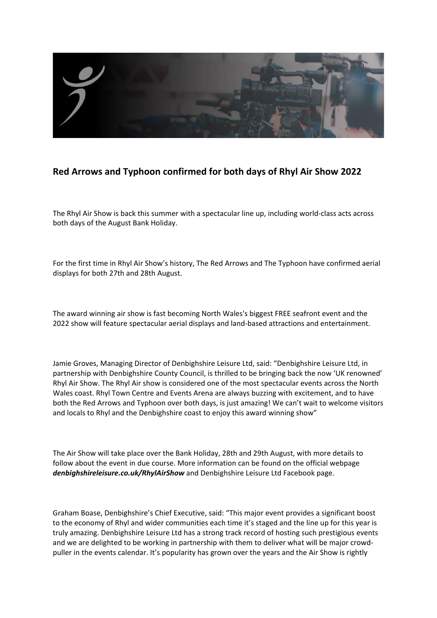

## **Red Arrows and Typhoon confirmed for both days of Rhyl Air Show 2022**

The Rhyl Air Show is back this summer with a spectacular line up, including world-class acts across both days of the August Bank Holiday.

For the first time in Rhyl Air Show's history, The Red Arrows and The Typhoon have confirmed aerial displays for both 27th and 28th August.

The award winning air show is fast becoming North Wales's biggest FREE seafront event and the 2022 show will feature spectacular aerial displays and land-based attractions and entertainment.

Jamie Groves, Managing Director of Denbighshire Leisure Ltd, said: "Denbighshire Leisure Ltd, in partnership with Denbighshire County Council, is thrilled to be bringing back the now 'UK renowned' Rhyl Air Show. The Rhyl Air show is considered one of the most spectacular events across the North Wales coast. Rhyl Town Centre and Events Arena are always buzzing with excitement, and to have both the Red Arrows and Typhoon over both days, is just amazing! We can't wait to welcome visitors and locals to Rhyl and the Denbighshire coast to enjoy this award winning show"

The Air Show will take place over the Bank Holiday, 28th and 29th August, with more details to follow about the event in due course. More information can be found on the official webpage *denbighshireleisure.co.uk/RhylAirShow* and Denbighshire Leisure Ltd Facebook page.

Graham Boase, Denbighshire's Chief Executive, said: "This major event provides a significant boost to the economy of Rhyl and wider communities each time it's staged and the line up for this year is truly amazing. Denbighshire Leisure Ltd has a strong track record of hosting such prestigious events and we are delighted to be working in partnership with them to deliver what will be major crowdpuller in the events calendar. It's popularity has grown over the years and the Air Show is rightly